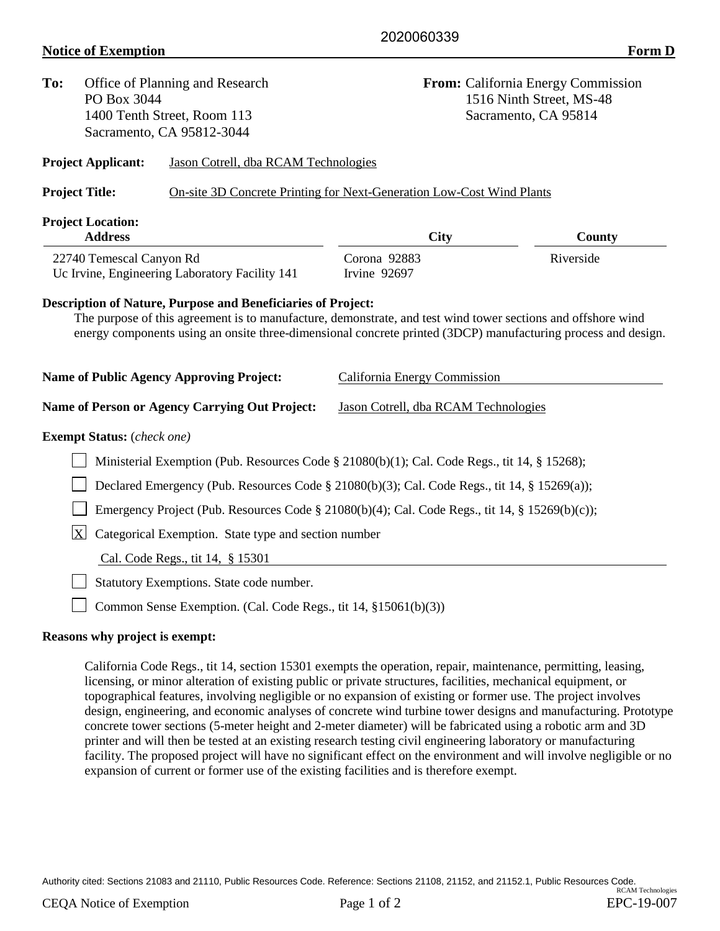**To:** Office of Planning and Research **From:** California Energy Commission PO Box 3044 1516 Ninth Street, MS-48 1400 Tenth Street, Room 113 Sacramento, CA 95814 Sacramento, CA 95812-3044 **Project Applicant:** Jason Cotrell, dba RCAM Technologies **Project Title:** On-site 3D Concrete Printing for Next-Generation Low-Cost Wind Plants **Project Location: Address City County** 22740 Temescal Canyon Rd Corona 92883 Riverside Uc Irvine, Engineering Laboratory Facility 141 Irvine 92697 **Description of Nature, Purpose and Beneficiaries of Project:** The purpose of this agreement is to manufacture, demonstrate, and test wind tower sections and offshore wind energy components using an onsite three-dimensional concrete printed (3DCP) manufacturing process and design. **Name of Public Agency Approving Project:** California Energy Commission **Name of Person or Agency Carrying Out Project:** Jason Cotrell, dba RCAM Technologies **Exempt Status:** (*check one)*

Ministerial Exemption (Pub. Resources Code § 21080(b)(1); Cal. Code Regs., tit 14, § 15268); □ Declared Emergency (Pub. Resources Code § 21080(b)(3); Cal. Code Regs., tit 14, § 15269(a)); Emergency Project (Pub. Resources Code  $\S 21080(b)(4)$ ; Cal. Code Regs., tit 14,  $\S 15269(b)(c)$ );

 $X$  Categorical Exemption. State type and section number

Cal. Code Regs., tit 14, § 15301

Statutory Exemptions. State code number.

Common Sense Exemption. (Cal. Code Regs., tit 14,  $\S 15061(b)(3)$ )

## **Reasons why project is exempt:**

California Code Regs., tit 14, section 15301 exempts the operation, repair, maintenance, permitting, leasing, licensing, or minor alteration of existing public or private structures, facilities, mechanical equipment, or topographical features, involving negligible or no expansion of existing or former use. The project involves design, engineering, and economic analyses of concrete wind turbine tower designs and manufacturing. Prototype concrete tower sections (5-meter height and 2-meter diameter) will be fabricated using a robotic arm and 3D printer and will then be tested at an existing research testing civil engineering laboratory or manufacturing facility. The proposed project will have no significant effect on the environment and will involve negligible or no expansion of current or former use of the existing facilities and is therefore exempt.

Authority cited: Sections 21083 and 21110, Public Resources Code. Reference: Sections 21108, 21152, and 21152.1, Public Resources Code. RCAM Technologies

2020060339